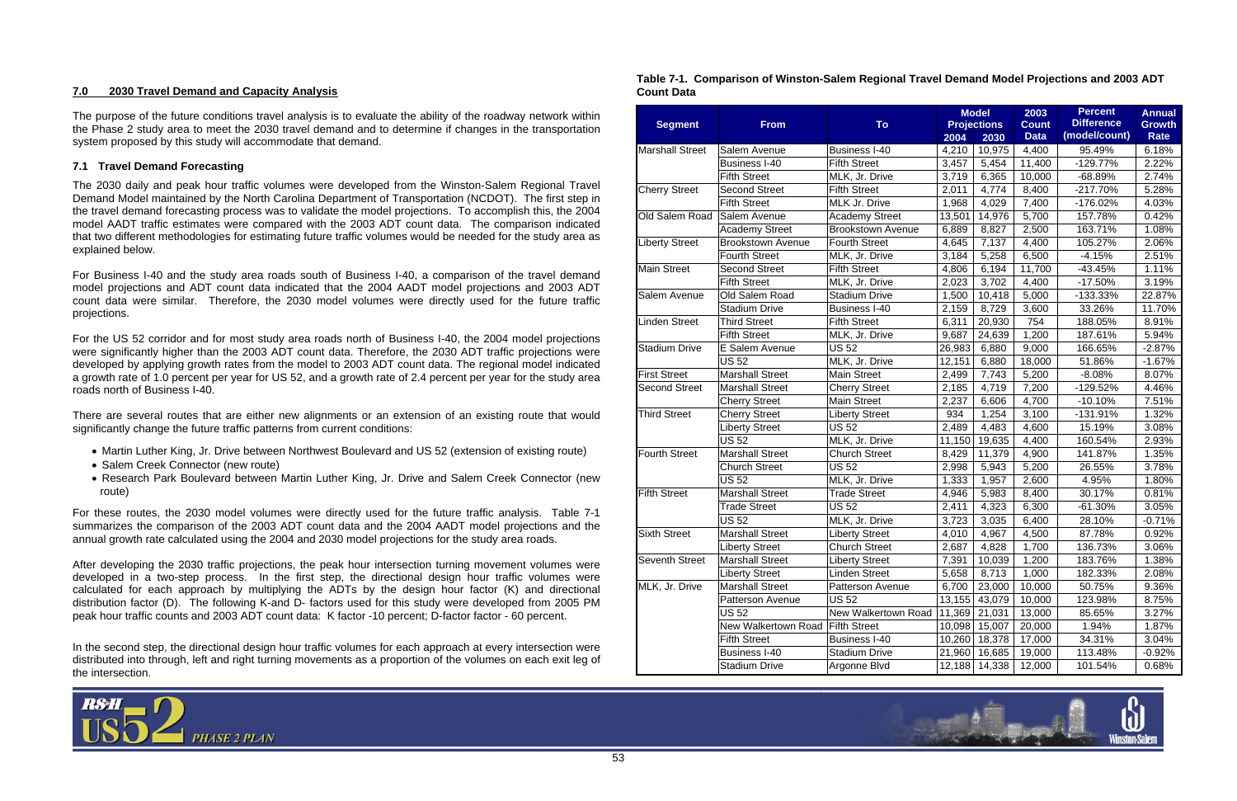

#### **7.0 2030 Travel Demand and Capacity Analysis**

The purpose of the future conditions travel analysis is to evaluate the ability of the roadway network within the Phase 2 study area to meet the 2030 travel demand and to determine if changes in the transportation system proposed by this study will accommodate that demand.

### **7.1 Travel Demand Forecasting**

The 2030 daily and peak hour traffic volumes were developed from the Winston-Salem Regional Travel Demand Model maintained by the North Carolina Department of Transportation (NCDOT). The first step in the travel demand forecasting process was to validate the model projections. To accomplish this, the 2004 model AADT traffic estimates were compared with the 2003 ADT count data. The comparison indicated that two different methodologies for estimating future traffic volumes would be needed for the study area as explained below.

For Business I-40 and the study area roads south of Business I-40, a comparison of the travel demand model projections and ADT count data indicated that the 2004 AADT model projections and 2003 ADT count data were similar. Therefore, the 2030 model volumes were directly used for the future traffic projections.

For the US 52 corridor and for most study area roads north of Business I-40, the 2004 model projections were significantly higher than the 2003 ADT count data. Therefore, the 2030 ADT traffic projections were developed by applying growth rates from the model to 2003 ADT count data. The regional model indicated a growth rate of 1.0 percent per year for US 52, and a growth rate of 2.4 percent per year for the study area roads north of Business I-40.

There are several routes that are either new alignments or an extension of an existing route that would significantly change the future traffic patterns from current conditions:

- Martin Luther King, Jr. Drive between Northwest Boulevard and US 52 (extension of existing route)
- Salem Creek Connector (new route)
- Research Park Boulevard between Martin Luther King, Jr. Drive and Salem Creek Connector (new route)

For these routes, the 2030 model volumes were directly used for the future traffic analysis. Table 7-1 summarizes the comparison of the 2003 ADT count data and the 2004 AADT model projections and the annual growth rate calculated using the 2004 and 2030 model projections for the study area roads.

After developing the 2030 traffic projections, the peak hour intersection turning movement volumes were developed in a two-step process. In the first step, the directional design hour traffic volumes were calculated for each approach by multiplying the ADTs by the design hour factor (K) and directional distribution factor (D). The following K-and D- factors used for this study were developed from 2005 PM peak hour traffic counts and 2003 ADT count data: K factor -10 percent; D-factor factor - 60 percent.

In the second step, the directional design hour traffic volumes for each approach at every intersection were distributed into through, left and right turning movements as a proportion of the volumes on each exit leg of the intersection.



#### **Table 7-1. Comparison of Winston-Salem Regional Travel Demand Model Projections and 2003 ADT Count Data**

| <b>Segment</b>         | <b>From</b>              | To                       |        | <b>Model</b><br><b>Projections</b> | 2003<br><b>Count</b> | <b>Percent</b><br><b>Difference</b> | <b>Annual</b><br><b>Growth</b> |
|------------------------|--------------------------|--------------------------|--------|------------------------------------|----------------------|-------------------------------------|--------------------------------|
|                        |                          |                          | 2004   | 2030                               | <b>Data</b>          | (model/count)                       | Rate                           |
| <b>Marshall Street</b> | Salem Avenue             | <b>Business I-40</b>     | 4,210  | 10,975                             | 4,400                | 95.49%                              | 6.18%                          |
|                        | <b>Business I-40</b>     | <b>Fifth Street</b>      | 3,457  | 5,454                              | 11,400               | $-129.77%$                          | 2.22%                          |
|                        | <b>Fifth Street</b>      | MLK, Jr. Drive           | 3,719  | 6,365                              | 10,000               | $-68.89%$                           | 2.74%                          |
| Cherry Street          | <b>Second Street</b>     | <b>Fifth Street</b>      | 2,011  | 4,774                              | 8,400                | $-217.70%$                          | 5.28%                          |
|                        | <b>Fifth Street</b>      | MLK Jr. Drive            | 1,968  | 4,029                              | 7,400                | $-176.02%$                          | 4.03%                          |
| Old Salem Road         | Salem Avenue             | <b>Academy Street</b>    | 13,501 | 14,976                             | 5,700                | 157.78%                             | 0.42%                          |
|                        | Academy Street           | <b>Brookstown Avenue</b> | 6,889  | 8,827                              | 2,500                | 163.71%                             | 1.08%                          |
| <b>Liberty Street</b>  | <b>Brookstown Avenue</b> | <b>Fourth Street</b>     | 4,645  | 7,137                              | 4,400                | 105.27%                             | 2.06%                          |
|                        | <b>Fourth Street</b>     | MLK, Jr. Drive           | 3,184  | 5,258                              | 6,500                | $-4.15%$                            | 2.51%                          |
| <b>Main Street</b>     | <b>Second Street</b>     | <b>Fifth Street</b>      | 4,806  | 6,194                              | 11,700               | $-43.45%$                           | 1.11%                          |
|                        | <b>Fifth Street</b>      | MLK, Jr. Drive           | 2,023  | 3,702                              | 4,400                | $-17.50%$                           | 3.19%                          |
| Salem Avenue           | Old Salem Road           | <b>Stadium Drive</b>     | 1,500  | 10,418                             | 5,000                | -133.33%                            | 22.87%                         |
|                        | <b>Stadium Drive</b>     | <b>Business I-40</b>     | 2,159  | 8,729                              | 3,600                | 33.26%                              | 11.70%                         |
| <b>Linden Street</b>   | <b>Third Street</b>      | <b>Fifth Street</b>      | 6,311  | 20,930                             | 754                  | 188.05%                             | 8.91%                          |
|                        | <b>Fifth Street</b>      | MLK, Jr. Drive           | 9,687  | 24,639                             | 1,200                | 187.61%                             | 5.94%                          |
| <b>Stadium Drive</b>   | E Salem Avenue           | <b>US 52</b>             | 26,983 | 6,880                              | 9,000                | 166.65%                             | $-2.87%$                       |
|                        | <b>US 52</b>             | MLK, Jr. Drive           | 12,151 | 6,880                              | 18,000               | 51.86%                              | $-1.67%$                       |
| <b>First Street</b>    | <b>Marshall Street</b>   | <b>Main Street</b>       | 2,499  | 7,743                              | 5,200                | $-8.08%$                            | 8.07%                          |
| <b>Second Street</b>   | <b>Marshall Street</b>   | <b>Cherry Street</b>     | 2,185  | 4,719                              | 7,200                | $-129.52%$                          | 4.46%                          |
|                        | <b>Cherry Street</b>     | <b>Main Street</b>       | 2,237  | 6,606                              | 4,700                | $-10.10%$                           | 7.51%                          |
| <b>Third Street</b>    | <b>Cherry Street</b>     | <b>Liberty Street</b>    | 934    | 1,254                              | 3,100                | $-131.91%$                          | 1.32%                          |
|                        | <b>Liberty Street</b>    | $\overline{U}$ S 52      | 2,489  | 4,483                              | 4,600                | 15.19%                              | 3.08%                          |
|                        | <b>US 52</b>             | MLK, Jr. Drive           | 11,150 | 19,635                             | 4,400                | 160.54%                             | 2.93%                          |
| <b>Fourth Street</b>   | <b>Marshall Street</b>   | <b>Church Street</b>     | 8,429  | 11,379                             | 4,900                | 141.87%                             | 1.35%                          |
|                        | <b>Church Street</b>     | <b>US 52</b>             | 2,998  | 5,943                              | 5,200                | 26.55%                              | 3.78%                          |
|                        | <b>US 52</b>             | MLK, Jr. Drive           | 1,333  | 1,957                              | 2,600                | 4.95%                               | 1.80%                          |
| <b>Fifth Street</b>    | <b>Marshall Street</b>   | <b>Trade Street</b>      | 4,946  | 5,983                              | 8,400                | 30.17%                              | 0.81%                          |
|                        | <b>Trade Street</b>      | <b>US 52</b>             | 2,411  | 4,323                              | 6,300                | $-61.30%$                           | 3.05%                          |
|                        | <b>US 52</b>             | MLK, Jr. Drive           | 3,723  | 3,035                              | 6,400                | 28.10%                              | $-0.71%$                       |
| <b>Sixth Street</b>    | <b>Marshall Street</b>   | <b>Liberty Street</b>    | 4,010  | 4,967                              | 4,500                | 87.78%                              | 0.92%                          |
|                        | <b>Liberty Street</b>    | <b>Church Street</b>     | 2,687  | 4,828                              | 1,700                | 136.73%                             | 3.06%                          |
| <b>Seventh Street</b>  | <b>Marshall Street</b>   | <b>Liberty Street</b>    | 7,391  | 10,039                             | 1,200                | 183.76%                             | 1.38%                          |
|                        | <b>Liberty Street</b>    | <b>Linden Street</b>     | 5,658  | 8,713                              | 1,000                | 182.33%                             | 2.08%                          |
| MLK, Jr. Drive         | <b>Marshall Street</b>   | Patterson Avenue         | 6,700  | 23,000                             | 10,000               | 50.75%                              | 9.36%                          |
|                        | Patterson Avenue         | <b>US 52</b>             | 13,155 | 43,079                             | 10,000               | 123.98%                             | 8.75%                          |
|                        | <b>US 52</b>             | New Walkertown Road      | 11,369 | 21,031                             | 13,000               | 85.65%                              | 3.27%                          |
|                        | New Walkertown Road      | <b>Fifth Street</b>      | 10,098 | 15,007                             | 20,000               | 1.94%                               | 1.87%                          |
|                        | <b>Fifth Street</b>      | <b>Business I-40</b>     |        | 10,260 18,378                      | 17,000               | 34.31%                              | 3.04%                          |
|                        | <b>Business I-40</b>     | <b>Stadium Drive</b>     | 21,960 | 16,685                             | 19,000               | 113.48%                             | $-0.92%$                       |
|                        | <b>Stadium Drive</b>     | Argonne Blvd             | 12,188 | 14,338                             | 12,000               | 101.54%                             | 0.68%                          |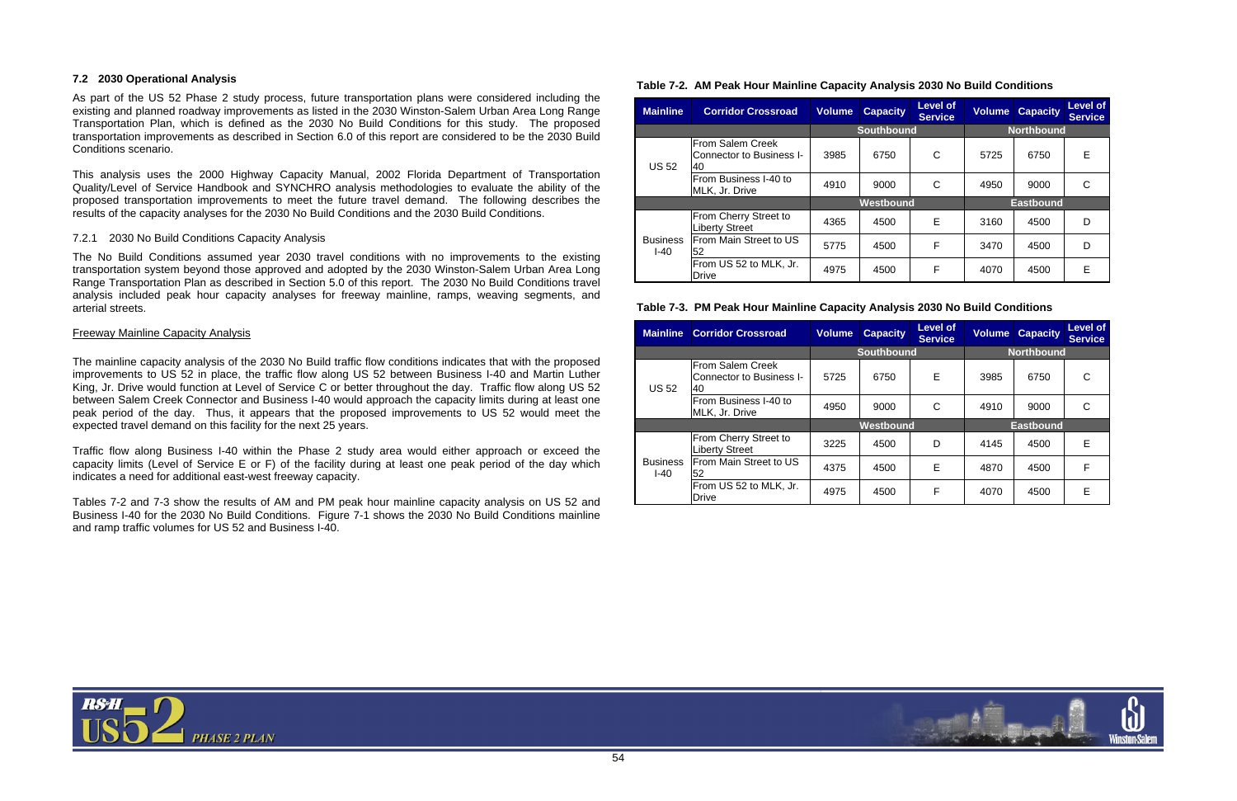

#### **7.2 2030 Operational Analysis**

As part of the US 52 Phase 2 study process, future transportation plans were considered including the existing and planned roadway improvements as listed in the 2030 Winston-Salem Urban Area Long Range Transportation Plan, which is defined as the 2030 No Build Conditions for this study. The proposed transportation improvements as described in Section 6.0 of this report are considered to be the 2030 Build Conditions scenario.

This analysis uses the 2000 Highway Capacity Manual, 2002 Florida Department of Transportation Quality/Level of Service Handbook and SYNCHRO analysis methodologies to evaluate the ability of the proposed transportation improvements to meet the future travel demand. The following describes the results of the capacity analyses for the 2030 No Build Conditions and the 2030 Build Conditions.

#### 7.2.1 2030 No Build Conditions Capacity Analysis

The No Build Conditions assumed year 2030 travel conditions with no improvements to the existing transportation system beyond those approved and adopted by the 2030 Winston-Salem Urban Area Long Range Transportation Plan as described in Section 5.0 of this report. The 2030 No Build Conditions travel analysis included peak hour capacity analyses for freeway mainline, ramps, weaving segments, and arterial streets.

#### Freeway Mainline Capacity Analysis

The mainline capacity analysis of the 2030 No Build traffic flow conditions indicates that with the proposed improvements to US 52 in place, the traffic flow along US 52 between Business I-40 and Martin Luther King, Jr. Drive would function at Level of Service C or better throughout the day. Traffic flow along US 52 between Salem Creek Connector and Business I-40 would approach the capacity limits during at least one peak period of the day. Thus, it appears that the proposed improvements to US 52 would meet the expected travel demand on this facility for the next 25 years.

Traffic flow along Business I-40 within the Phase 2 study area would either approach or exceed the capacity limits (Level of Service E or F) of the facility during at least one peak period of the day which indicates a need for additional east-west freeway capacity.

Tables 7-2 and 7-3 show the results of AM and PM peak hour mainline capacity analysis on US 52 and Business I-40 for the 2030 No Build Conditions. Figure 7-1 shows the 2030 No Build Conditions mainline and ramp traffic volumes for US 52 and Business I-40.

## **Table 7-2. AM Peak Hour Mainline Capacity Analysis 2030 No Build Conditions**

| <b>Mainline</b>           | <b>Corridor Crossroad</b>                          | <b>Volume</b> | <b>Capacity</b>   | Level of<br><b>Service</b> | <b>Volume</b> | <b>Capacity</b>   | Level of<br><b>Service</b> |
|---------------------------|----------------------------------------------------|---------------|-------------------|----------------------------|---------------|-------------------|----------------------------|
|                           |                                                    |               | <b>Southbound</b> |                            |               | <b>Northbound</b> |                            |
| <b>US 52</b>              | From Salem Creek<br>Connector to Business I-<br>40 | 3985          | 6750              | C                          | 5725          | 6750              | Е                          |
|                           | From Business I-40 to<br>MLK, Jr. Drive            | 4910          | 9000              | С                          | 4950          | 9000              | C                          |
|                           |                                                    | Westbound     |                   | <b>Eastbound</b>           |               |                   |                            |
|                           | From Cherry Street to<br><b>Liberty Street</b>     | 4365          | 4500              | E                          | 3160          | 4500              | D                          |
| <b>Business</b><br>$I-40$ | From Main Street to US<br>52                       | 5775          | 4500              | F                          | 3470          | 4500              | D                          |
|                           | From US 52 to MLK, Jr.<br>Drive                    | 4975          | 4500              | F                          | 4070          | 4500              | F                          |

#### **Table 7-3. PM Peak Hour Mainline Capacity Analysis 2030 No Build Conditions**

| <b>Mainline</b>           | <b>Corridor Crossroad</b>                          | <b>Volume</b> | <b>Capacity</b>   | Level of<br><b>Service</b> | <b>Volume</b> | <b>Capacity</b>   | <b>Level of</b><br><b>Service</b> |
|---------------------------|----------------------------------------------------|---------------|-------------------|----------------------------|---------------|-------------------|-----------------------------------|
|                           |                                                    |               | <b>Southbound</b> |                            |               | <b>Northbound</b> |                                   |
| <b>US 52</b>              | From Salem Creek<br>Connector to Business I-<br>40 | 5725          | 6750              | E                          | 3985          | 6750              | C                                 |
|                           | From Business I-40 to<br>MLK, Jr. Drive            | 4950          | 9000              | C                          | 4910          | 9000              | C                                 |
|                           |                                                    | Westbound     |                   |                            |               | <b>Eastbound</b>  |                                   |
|                           | From Cherry Street to<br><b>Liberty Street</b>     | 3225          | 4500              | D                          | 4145          | 4500              | Е                                 |
| <b>Business</b><br>$I-40$ | From Main Street to US<br>52                       | 4375          | 4500              | E                          | 4870          | 4500              | F                                 |
|                           | From US 52 to MLK, Jr.<br><b>Drive</b>             | 4975          | 4500              | F                          | 4070          | 4500              | Е                                 |

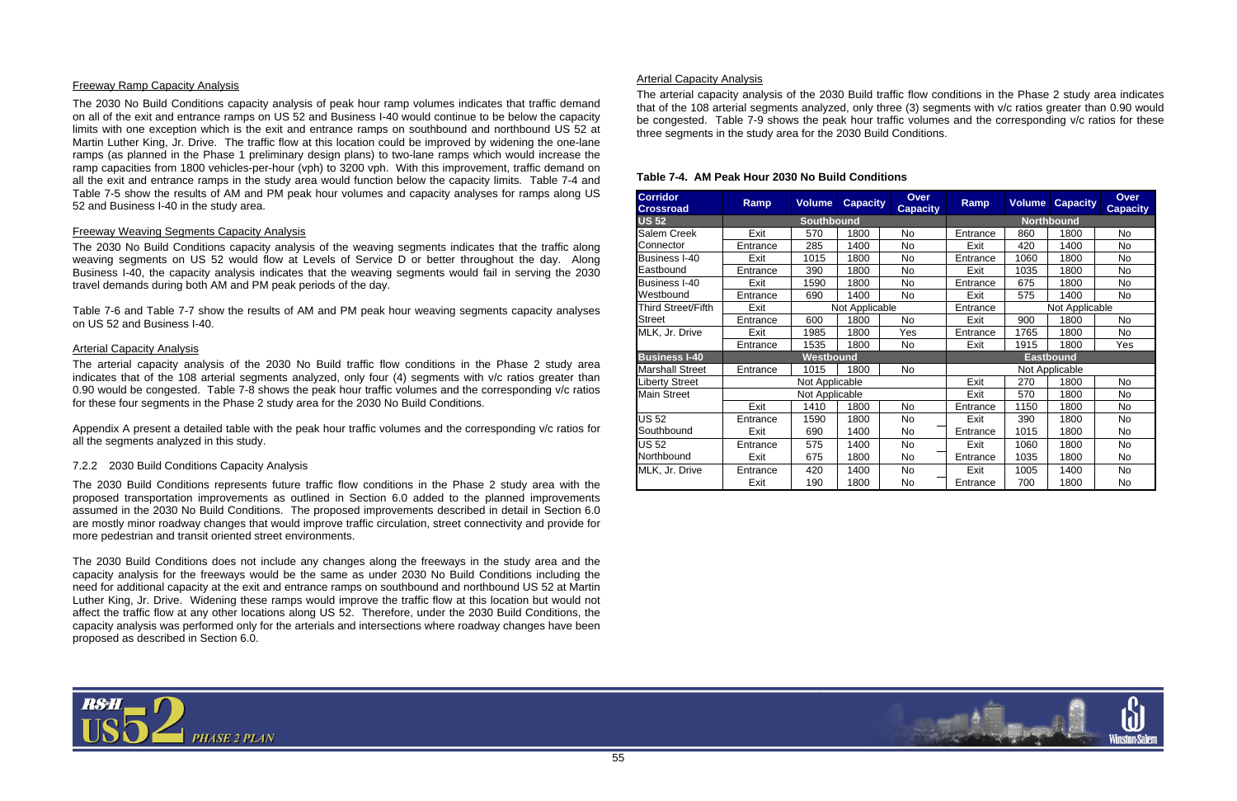

#### Freeway Ramp Capacity Analysis

The 2030 No Build Conditions capacity analysis of peak hour ramp volumes indicates that traffic demand on all of the exit and entrance ramps on US 52 and Business I-40 would continue to be below the capacity limits with one exception which is the exit and entrance ramps on southbound and northbound US 52 at Martin Luther King, Jr. Drive. The traffic flow at this location could be improved by widening the one-lane ramps (as planned in the Phase 1 preliminary design plans) to two-lane ramps which would increase the ramp capacities from 1800 vehicles-per-hour (vph) to 3200 vph. With this improvement, traffic demand on all the exit and entrance ramps in the study area would function below the capacity limits. Table 7-4 and Table 7-5 show the results of AM and PM peak hour volumes and capacity analyses for ramps along US 52 and Business I-40 in the study area.

#### Freeway Weaving Segments Capacity Analysis

The 2030 No Build Conditions capacity analysis of the weaving segments indicates that the traffic along weaving segments on US 52 would flow at Levels of Service D or better throughout the day. Along Business I-40, the capacity analysis indicates that the weaving segments would fail in serving the 2030 travel demands during both AM and PM peak periods of the day.

Table 7-6 and Table 7-7 show the results of AM and PM peak hour weaving segments capacity analyses on US 52 and Business I-40.

#### Arterial Capacity Analysis

The arterial capacity analysis of the 2030 No Build traffic flow conditions in the Phase 2 study area indicates that of the 108 arterial segments analyzed, only four (4) segments with v/c ratios greater than 0.90 would be congested. Table 7-8 shows the peak hour traffic volumes and the corresponding v/c ratios for these four segments in the Phase 2 study area for the 2030 No Build Conditions.

Appendix A present a detailed table with the peak hour traffic volumes and the corresponding v/c ratios for all the segments analyzed in this study.

#### 7.2.2 2030 Build Conditions Capacity Analysis

The 2030 Build Conditions represents future traffic flow conditions in the Phase 2 study area with the proposed transportation improvements as outlined in Section 6.0 added to the planned improvements assumed in the 2030 No Build Conditions. The proposed improvements described in detail in Section 6.0 are mostly minor roadway changes that would improve traffic circulation, street connectivity and provide for more pedestrian and transit oriented street environments.

The 2030 Build Conditions does not include any changes along the freeways in the study area and the capacity analysis for the freeways would be the same as under 2030 No Build Conditions including the need for additional capacity at the exit and entrance ramps on southbound and northbound US 52 at Martin Luther King, Jr. Drive. Widening these ramps would improve the traffic flow at this location but would not affect the traffic flow at any other locations along US 52. Therefore, under the 2030 Build Conditions, the capacity analysis was performed only for the arterials and intersections where roadway changes have been proposed as described in Section 6.0.

#### Arterial Capacity Analysis

The arterial capacity analysis of the 2030 Build traffic flow conditions in the Phase 2 study area indicates that of the 108 arterial segments analyzed, only three (3) segments with v/c ratios greater than 0.90 would be congested. Table 7-9 shows the peak hour traffic volumes and the corresponding v/c ratios for these three segments in the study area for the 2030 Build Conditions.

#### **Table 7-4. AM Peak Hour 2030 No Build Conditions**

| <b>Corridor</b><br><b>Crossroad</b> | Ramp     | <b>Volume</b>     | <b>Capacity</b> | <b>Over</b><br><b>Capacity</b> | <b>Ramp</b>      | <b>Volume</b> | <b>Capacity</b>   | Over<br><b>Capacity</b> |
|-------------------------------------|----------|-------------------|-----------------|--------------------------------|------------------|---------------|-------------------|-------------------------|
| <b>US 52</b>                        |          | <b>Southbound</b> |                 |                                |                  |               | <b>Northbound</b> |                         |
| Salem Creek                         | Exit     | 570               | 1800            | No                             | Entrance         | 860           | 1800              | No                      |
| Connector                           | Entrance | 285               | 1400            | No                             | Exit             | 420           | 1400              | No                      |
| Business I-40                       | Exit     | 1015              | 1800            | No                             | Entrance         | 1060          | 1800              | <b>No</b>               |
| Eastbound                           | Entrance | 390               | 1800            | No.                            | Exit             | 1035          | 1800              | No                      |
| Business I-40                       | Exit     | 1590              | 1800            | No                             | Entrance         | 675           | 1800              | <b>No</b>               |
| Westbound                           | Entrance | 690               | 1400            | No.                            | Exit             | 575           | 1400              | No                      |
| Third Street/Fifth                  | Exit     |                   | Not Applicable  |                                | Entrance         |               | Not Applicable    |                         |
| Street                              | Entrance | 600               | 1800            | <b>No</b>                      | Exit             | 900           | 1800              | No                      |
| MLK, Jr. Drive                      | Exit     | 1985              | 1800            | Yes                            | Entrance         | 1765          | 1800              | No                      |
|                                     | Entrance | 1535              | 1800            | No.                            | Exit             | 1915          | 1800              | Yes                     |
| <b>Business I-40</b>                |          | Westbound         |                 |                                | <b>Eastbound</b> |               |                   |                         |
| <b>Marshall Street</b>              | Entrance | 1015              | 1800            | No                             |                  |               | Not Applicable    |                         |
| Liberty Street                      |          | Not Applicable    |                 |                                | Exit             | 270           | 1800              | No                      |
| <b>Main Street</b>                  |          | Not Applicable    |                 |                                | Exit             | 570           | 1800              | No                      |
|                                     | Exit     | 1410              | 1800            | No                             | Entrance         | 1150          | 1800              | <b>No</b>               |
| <b>US 52</b>                        | Entrance | 1590              | 1800            | No.                            | Exit             | 390           | 1800              | No                      |
| Southbound                          | Exit     | 690               | 1400            | No.                            | Entrance         | 1015          | 1800              | No                      |
| <b>US 52</b><br>Northbound          | Entrance | 575               | 1400            | No                             | Exit             | 1060          | 1800              | No                      |
|                                     | Exit     | 675               | 1800            | No                             | Entrance         | 1035          | 1800              | No.                     |
| MLK, Jr. Drive                      | Entrance | 420               | 1400            | No                             | Exit             | 1005          | 1400              | No                      |
|                                     | Exit     | 190               | 1800            | No                             | Entrance         | 700           | 1800              | No                      |

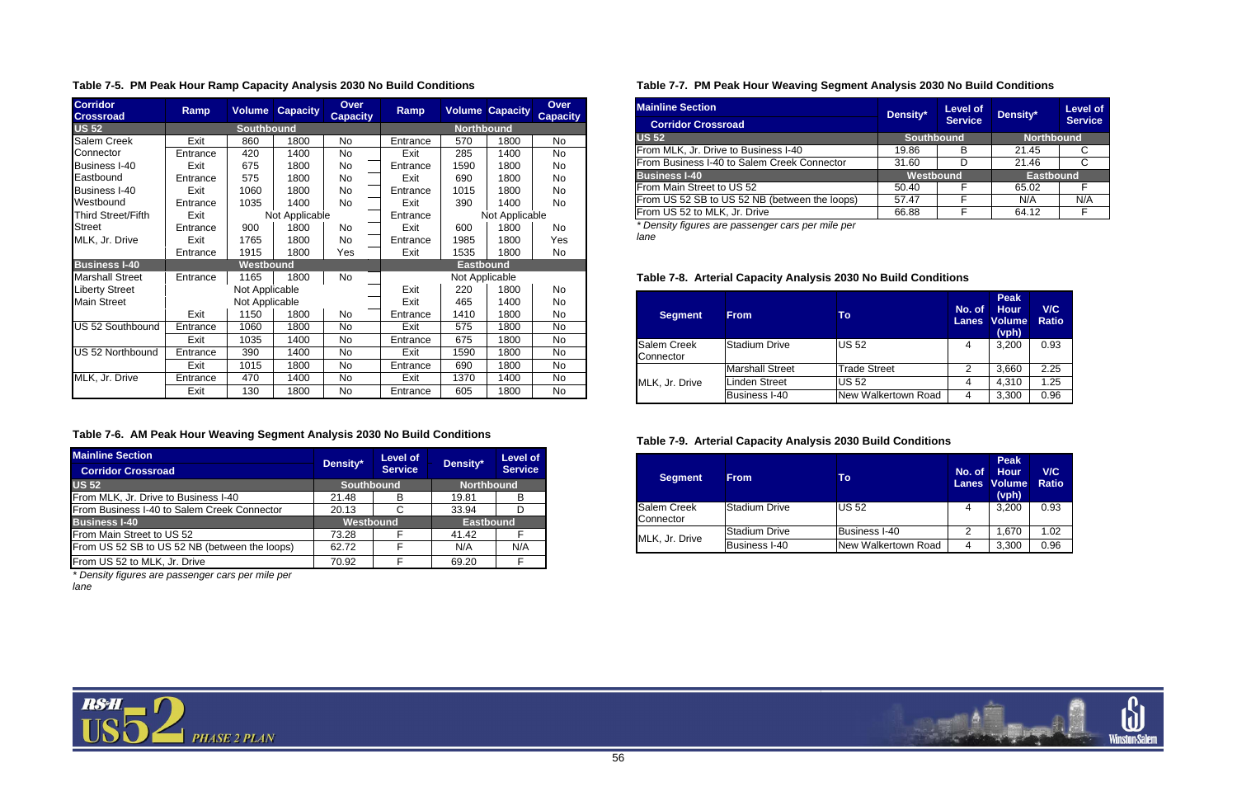

|  |  |  |  | Table 7-5. PM Peak Hour Ramp Capacity Analysis 2030 No Build Conditions |
|--|--|--|--|-------------------------------------------------------------------------|
|--|--|--|--|-------------------------------------------------------------------------|

| <b>Corridor</b><br><b>Crossroad</b> | Ramp     | <b>Volume</b>     | <b>Capacity</b> | <b>Over</b><br><b>Capacity</b> | <b>Ramp</b>      |                   | <b>Volume Capacity</b> | <b>Over</b><br><b>Capacity</b> |
|-------------------------------------|----------|-------------------|-----------------|--------------------------------|------------------|-------------------|------------------------|--------------------------------|
| <b>US 52</b>                        |          | <b>Southbound</b> |                 |                                |                  | <b>Northbound</b> |                        |                                |
| <b>Salem Creek</b>                  | Exit     | 860               | 1800            | No.                            | Entrance         | 570               | 1800                   | No                             |
| Connector                           | Entrance | 420               | 1400            | No                             | Exit             | 285               | 1400                   | No                             |
| Business I-40                       | Exit     | 675               | 1800            | No.                            | Entrance         | 1590              | 1800                   | No                             |
| Eastbound                           | Entrance | 575               | 1800            | No                             | Exit             | 690               | 1800                   | No                             |
| Business I-40                       | Exit     | 1060              | 1800            | No.                            | Entrance         | 1015              | 1800                   | No                             |
| Westbound                           | Entrance | 1035              | 1400            | No.                            | Exit             | 390               | 1400                   | No                             |
| Third Street/Fifth                  | Exit     |                   | Not Applicable  |                                | Entrance         |                   | Not Applicable         |                                |
| <b>Street</b>                       | Entrance | 900               | 1800            | No                             | Exit             | 600               | 1800                   | No                             |
| MLK, Jr. Drive                      | Exit     | 1765              | 1800            | No                             | Entrance         | 1985              | 1800                   | Yes                            |
|                                     | Entrance | 1915              | 1800            | Yes                            | Exit             | 1535              | 1800                   | No                             |
| <b>Business I-40</b>                |          | Westbound         |                 |                                | <b>Eastbound</b> |                   |                        |                                |
| <b>Marshall Street</b>              | Entrance | 1165              | 1800            | No                             |                  | Not Applicable    |                        |                                |
| <b>Liberty Street</b>               |          | Not Applicable    |                 |                                | Exit             | 220               | 1800                   | No                             |
| Main Street                         |          | Not Applicable    |                 |                                | Exit             | 465               | 1400                   | No.                            |
|                                     | Exit     | 1150              | 1800            | No                             | Entrance         | 1410              | 1800                   | No                             |
| US 52 Southbound                    | Entrance | 1060              | 1800            | No                             | Exit             | 575               | 1800                   | No.                            |
|                                     | Exit     | 1035              | 1400            | <b>No</b>                      | Entrance         | 675               | 1800                   | No                             |
| US 52 Northbound                    | Entrance | 390               | 1400            | No.                            | Exit             | 1590              | 1800                   | No                             |
|                                     | Exit     | 1015              | 1800            | No                             | Entrance         | 690               | 1800                   | No.                            |
| MLK, Jr. Drive                      | Entrance | 470               | 1400            | No                             | Exit             | 1370              | 1400                   | No                             |
|                                     | Exit     | 130               | 1800            | No                             | Entrance         | 605               | 1800                   | No                             |

## **Table 7-6. AM Peak Hour Weaving Segment Analysis 2030 No Build Conditions**

| <b>Mainline Section</b>                       | Density*          | Level of       | Density*          | Level of       |  |
|-----------------------------------------------|-------------------|----------------|-------------------|----------------|--|
| <b>Corridor Crossroad</b>                     |                   | <b>Service</b> |                   | <b>Service</b> |  |
| <b>US 52</b>                                  | <b>Southbound</b> |                | <b>Northbound</b> |                |  |
| From MLK, Jr. Drive to Business I-40          | 21.48             | в              | 19.81             | B              |  |
| From Business I-40 to Salem Creek Connector   | 20.13             | C              | 33.94             | D              |  |
| <b>Business I-40</b>                          | Westbound         |                | <b>Eastbound</b>  |                |  |
| From Main Street to US 52                     | 73.28             |                | 41.42             | F              |  |
| From US 52 SB to US 52 NB (between the loops) | 62.72             | F              | N/A               | N/A            |  |
| From US 52 to MLK, Jr. Drive                  | 70.92             |                | 69.20             | F              |  |

*\* Density figures are passenger cars per mile per lane* 

# **Table 7-7. PM Peak Hour Weaving Segment Analysis 2030 No Build Conditions**

| <b>Mainline Section</b>                       | Density*  | Level of   | Density*         | <b>Level of</b>   |  |
|-----------------------------------------------|-----------|------------|------------------|-------------------|--|
| <b>Corridor Crossroad</b>                     |           | Service,   |                  | <b>Service</b>    |  |
| <b>US 52</b>                                  |           | Southbound |                  | <b>Northbound</b> |  |
| From MLK, Jr. Drive to Business I-40          | 19.86     | в          | 21.45            |                   |  |
| From Business I-40 to Salem Creek Connector   | 31.60     |            | 21.46            |                   |  |
| <b>Business I-40</b>                          | Westbound |            | <b>Eastbound</b> |                   |  |
| From Main Street to US 52                     | 50.40     |            | 65.02            |                   |  |
| From US 52 SB to US 52 NB (between the loops) | 57.47     | F          | N/A              | N/A               |  |
| From US 52 to MLK, Jr. Drive                  | 66.88     |            | 64.12            | F                 |  |

*\* Density figures are passenger cars per mile per lane* 

# **Table 7-8. Arterial Capacity Analysis 2030 No Build Conditions**

| <b>Segment</b>                  | <b>From</b>            | Τо                  | No. of<br><b>Lanes</b> | <b>Peak</b><br><b>Hour</b><br><b>Volume</b><br>(vph) | V/C<br><b>Ratio</b> |
|---------------------------------|------------------------|---------------------|------------------------|------------------------------------------------------|---------------------|
| <b>Salem Creek</b><br>Connector | <b>Stadium Drive</b>   | <b>US 52</b>        | 4                      | 3,200                                                | 0.93                |
|                                 | <b>Marshall Street</b> | Trade Street        | 2                      | 3,660                                                | 2.25                |
| MLK, Jr. Drive                  | <b>Linden Street</b>   | <b>US 52</b>        | 4                      | 4,310                                                | 1.25                |
|                                 | <b>Business I-40</b>   | New Walkertown Road | 4                      | 3,300                                                | 0.96                |

### **Table 7-9. Arterial Capacity Analysis 2030 Build Conditions**

| <b>Segment</b>                  | <b>From</b>          | Τo                   | No. of<br><b>Lanes</b> | <b>Peak</b><br><b>Hour</b><br><b>Volume</b><br>(vph) | V/C<br><b>Ratio</b> |
|---------------------------------|----------------------|----------------------|------------------------|------------------------------------------------------|---------------------|
| <b>Salem Creek</b><br>Connector | Stadium Drive        | <b>US 52</b>         | 4                      | 3.200                                                | 0.93                |
|                                 | <b>Stadium Drive</b> | <b>Business I-40</b> | 2                      | 1.670                                                | 1.02                |
| MLK, Jr. Drive                  | <b>Business I-40</b> | New Walkertown Road  | 4                      | 3,300                                                | 0.96                |

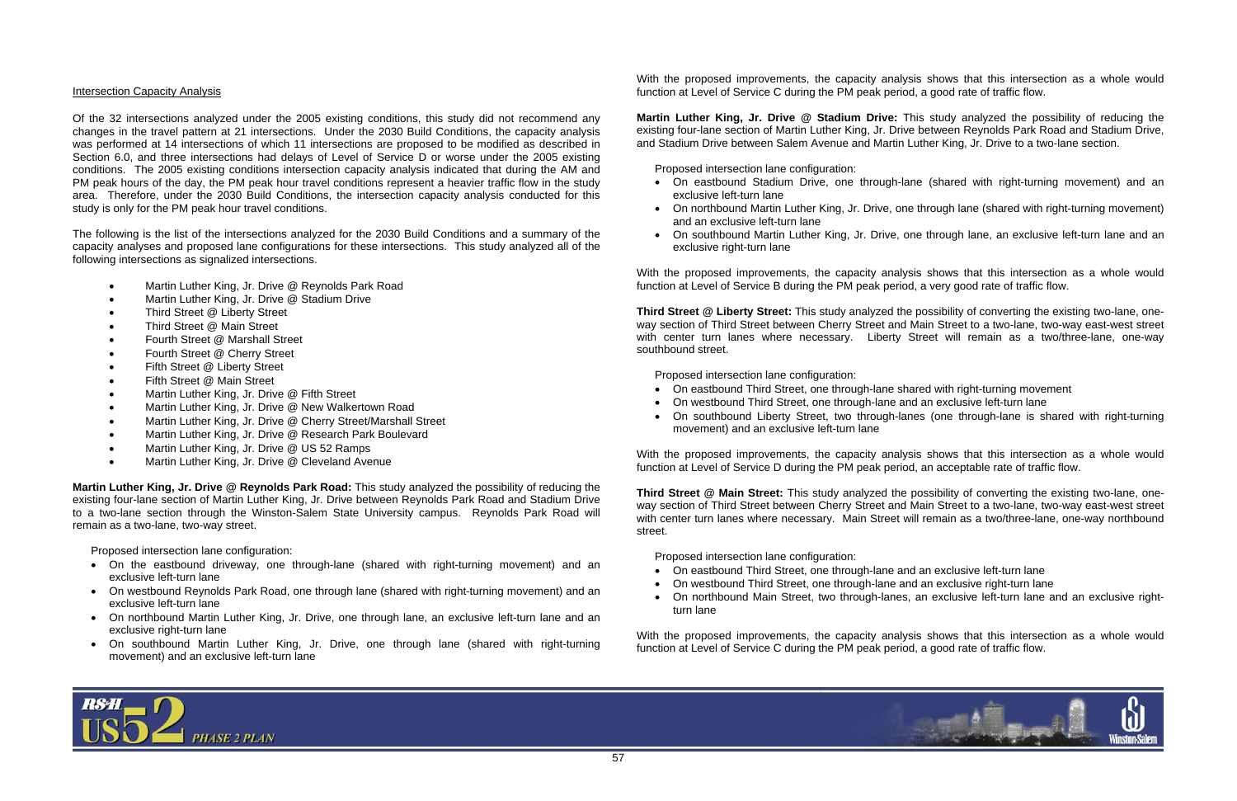#### Intersection Capacity Analysis

Of the 32 intersections analyzed under the 2005 existing conditions, this study did not recommend any changes in the travel pattern at 21 intersections. Under the 2030 Build Conditions, the capacity analysis was performed at 14 intersections of which 11 intersections are proposed to be modified as described in Section 6.0, and three intersections had delays of Level of Service D or worse under the 2005 existing conditions. The 2005 existing conditions intersection capacity analysis indicated that during the AM and PM peak hours of the day, the PM peak hour travel conditions represent a heavier traffic flow in the study area. Therefore, under the 2030 Build Conditions, the intersection capacity analysis conducted for this study is only for the PM peak hour travel conditions.

The following is the list of the intersections analyzed for the 2030 Build Conditions and a summary of the capacity analyses and proposed lane configurations for these intersections. This study analyzed all of the following intersections as signalized intersections.

- Martin Luther King, Jr. Drive @ Reynolds Park Road
- Martin Luther King, Jr. Drive @ Stadium Drive
- Third Street @ Liberty Street
- Third Street @ Main Street
- Fourth Street @ Marshall Street
- Fourth Street @ Cherry Street
- Fifth Street @ Liberty Street
- Fifth Street @ Main Street
- Martin Luther King, Jr. Drive @ Fifth Street
- Martin Luther King, Jr. Drive @ New Walkertown Road
- Martin Luther King, Jr. Drive @ Cherry Street/Marshall Street
- Martin Luther King, Jr. Drive @ Research Park Boulevard
- Martin Luther King, Jr. Drive @ US 52 Ramps
- Martin Luther King, Jr. Drive @ Cleveland Avenue

**Martin Luther King, Jr. Drive @ Reynolds Park Road:** This study analyzed the possibility of reducing the existing four-lane section of Martin Luther King, Jr. Drive between Reynolds Park Road and Stadium Drive to a two-lane section through the Winston-Salem State University campus. Reynolds Park Road will remain as a two-lane, two-way street.

Proposed intersection lane configuration:

- On the eastbound driveway, one through-lane (shared with right-turning movement) and an exclusive left-turn lane
- On westbound Reynolds Park Road, one through lane (shared with right-turning movement) and an exclusive left-turn lane
- On northbound Martin Luther King, Jr. Drive, one through lane, an exclusive left-turn lane and an exclusive right-turn lane
- On southbound Martin Luther King, Jr. Drive, one through lane (shared with right-turning movement) and an exclusive left-turn lane

With the proposed improvements, the capacity analysis shows that this intersection as a whole would function at Level of Service C during the PM peak period, a good rate of traffic flow.

**Martin Luther King, Jr. Drive @ Stadium Drive:** This study analyzed the possibility of reducing the existing four-lane section of Martin Luther King, Jr. Drive between Reynolds Park Road and Stadium Drive, and Stadium Drive between Salem Avenue and Martin Luther King, Jr. Drive to a two-lane section.

Proposed intersection lane configuration:

- On eastbound Stadium Drive, one through-lane (shared with right-turning movement) and an exclusive left-turn lane
- On northbound Martin Luther King, Jr. Drive, one through lane (shared with right-turning movement) and an exclusive left-turn lane
- On southbound Martin Luther King, Jr. Drive, one through lane, an exclusive left-turn lane and an exclusive right-turn lane

With the proposed improvements, the capacity analysis shows that this intersection as a whole would function at Level of Service B during the PM peak period, a very good rate of traffic flow.

**Third Street @ Liberty Street:** This study analyzed the possibility of converting the existing two-lane, oneway section of Third Street between Cherry Street and Main Street to a two-lane, two-way east-west street with center turn lanes where necessary. Liberty Street will remain as a two/three-lane, one-way southbound street.

Proposed intersection lane configuration:

- On eastbound Third Street, one through-lane shared with right-turning movement
- On westbound Third Street, one through-lane and an exclusive left-turn lane
- movement) and an exclusive left-turn lane

• On southbound Liberty Street, two through-lanes (one through-lane is shared with right-turning

With the proposed improvements, the capacity analysis shows that this intersection as a whole would function at Level of Service D during the PM peak period, an acceptable rate of traffic flow.

**Third Street @ Main Street:** This study analyzed the possibility of converting the existing two-lane, oneway section of Third Street between Cherry Street and Main Street to a two-lane, two-way east-west street with center turn lanes where necessary. Main Street will remain as a two/three-lane, one-way northbound street.

Proposed intersection lane configuration:

- On eastbound Third Street, one through-lane and an exclusive left-turn lane
- On westbound Third Street, one through-lane and an exclusive right-turn lane
- turn lane

• On northbound Main Street, two through-lanes, an exclusive left-turn lane and an exclusive right-



With the proposed improvements, the capacity analysis shows that this intersection as a whole would function at Level of Service C during the PM peak period, a good rate of traffic flow.

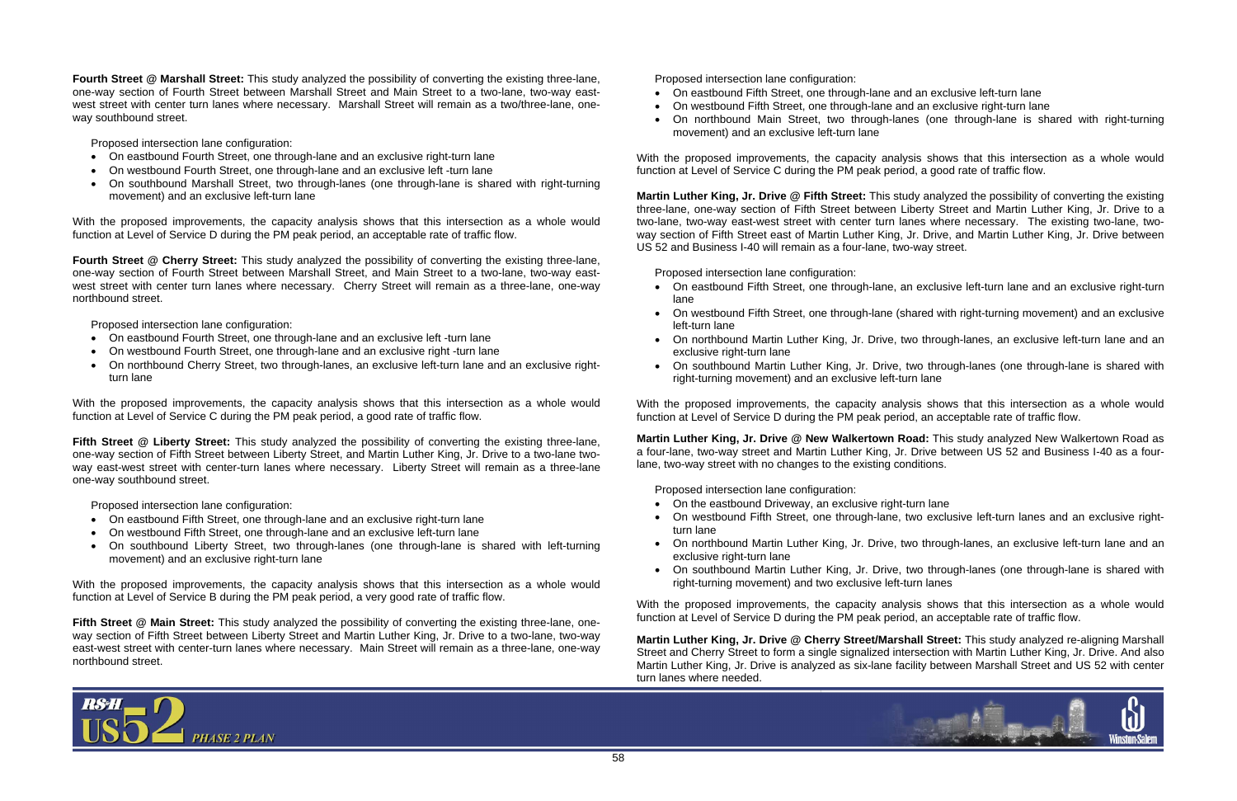**Fourth Street @ Marshall Street:** This study analyzed the possibility of converting the existing three-lane, one-way section of Fourth Street between Marshall Street and Main Street to a two-lane, two-way eastwest street with center turn lanes where necessary. Marshall Street will remain as a two/three-lane, oneway southbound street.

Proposed intersection lane configuration:

- On eastbound Fourth Street, one through-lane and an exclusive right-turn lane
- On westbound Fourth Street, one through-lane and an exclusive left -turn lane
- On southbound Marshall Street, two through-lanes (one through-lane is shared with right-turning movement) and an exclusive left-turn lane

With the proposed improvements, the capacity analysis shows that this intersection as a whole would function at Level of Service D during the PM peak period, an acceptable rate of traffic flow.

**Fourth Street @ Cherry Street:** This study analyzed the possibility of converting the existing three-lane, one-way section of Fourth Street between Marshall Street, and Main Street to a two-lane, two-way eastwest street with center turn lanes where necessary. Cherry Street will remain as a three-lane, one-way northbound street.

Proposed intersection lane configuration:

- On eastbound Fourth Street, one through-lane and an exclusive left -turn lane
- On westbound Fourth Street, one through-lane and an exclusive right -turn lane
- On northbound Cherry Street, two through-lanes, an exclusive left-turn lane and an exclusive rightturn lane

**Fifth Street @ Main Street:** This study analyzed the possibility of converting the existing three-lane, oneway section of Fifth Street between Liberty Street and Martin Luther King, Jr. Drive to a two-lane, two-way east-west street with center-turn lanes where necessary. Main Street will remain as a three-lane, one-way northbound street.

With the proposed improvements, the capacity analysis shows that this intersection as a whole would function at Level of Service C during the PM peak period, a good rate of traffic flow.

**Fifth Street @ Liberty Street:** This study analyzed the possibility of converting the existing three-lane, one-way section of Fifth Street between Liberty Street, and Martin Luther King, Jr. Drive to a two-lane twoway east-west street with center-turn lanes where necessary. Liberty Street will remain as a three-lane one-way southbound street.

Proposed intersection lane configuration:

- On eastbound Fifth Street, one through-lane and an exclusive right-turn lane
- On westbound Fifth Street, one through-lane and an exclusive left-turn lane
- On southbound Liberty Street, two through-lanes (one through-lane is shared with left-turning movement) and an exclusive right-turn lane

With the proposed improvements, the capacity analysis shows that this intersection as a whole would function at Level of Service B during the PM peak period, a very good rate of traffic flow.

- On the eastbound Driveway, an exclusive right-turn lane
- On westbound Fifth Street, one through-lane, two exclusive left-turn lanes and an exclusive rightturn lane
- exclusive right-turn lane
- right-turning movement) and two exclusive left-turn lanes

Proposed intersection lane configuration:

- On eastbound Fifth Street, one through-lane and an exclusive left-turn lane
- On westbound Fifth Street, one through-lane and an exclusive right-turn lane
- movement) and an exclusive left-turn lane

• On northbound Main Street, two through-lanes (one through-lane is shared with right-turning

With the proposed improvements, the capacity analysis shows that this intersection as a whole would function at Level of Service C during the PM peak period, a good rate of traffic flow.

**Martin Luther King, Jr. Drive @ Fifth Street:** This study analyzed the possibility of converting the existing three-lane, one-way section of Fifth Street between Liberty Street and Martin Luther King, Jr. Drive to a two-lane, two-way east-west street with center turn lanes where necessary. The existing two-lane, twoway section of Fifth Street east of Martin Luther King, Jr. Drive, and Martin Luther King, Jr. Drive between US 52 and Business I-40 will remain as a four-lane, two-way street.

Proposed intersection lane configuration:

- On eastbound Fifth Street, one through-lane, an exclusive left-turn lane and an exclusive right-turn lane
- On westbound Fifth Street, one through-lane (shared with right-turning movement) and an exclusive left-turn lane
- exclusive right-turn lane
- right-turning movement) and an exclusive left-turn lane

• On northbound Martin Luther King, Jr. Drive, two through-lanes, an exclusive left-turn lane and an

• On southbound Martin Luther King, Jr. Drive, two through-lanes (one through-lane is shared with

With the proposed improvements, the capacity analysis shows that this intersection as a whole would function at Level of Service D during the PM peak period, an acceptable rate of traffic flow.

**Martin Luther King, Jr. Drive @ New Walkertown Road:** This study analyzed New Walkertown Road as a four-lane, two-way street and Martin Luther King, Jr. Drive between US 52 and Business I-40 as a fourlane, two-way street with no changes to the existing conditions.

Proposed intersection lane configuration:

• On northbound Martin Luther King, Jr. Drive, two through-lanes, an exclusive left-turn lane and an

• On southbound Martin Luther King, Jr. Drive, two through-lanes (one through-lane is shared with



With the proposed improvements, the capacity analysis shows that this intersection as a whole would function at Level of Service D during the PM peak period, an acceptable rate of traffic flow.

**Martin Luther King, Jr. Drive @ Cherry Street/Marshall Street:** This study analyzed re-aligning Marshall Street and Cherry Street to form a single signalized intersection with Martin Luther King, Jr. Drive. And also Martin Luther King, Jr. Drive is analyzed as six-lane facility between Marshall Street and US 52 with center turn lanes where needed.

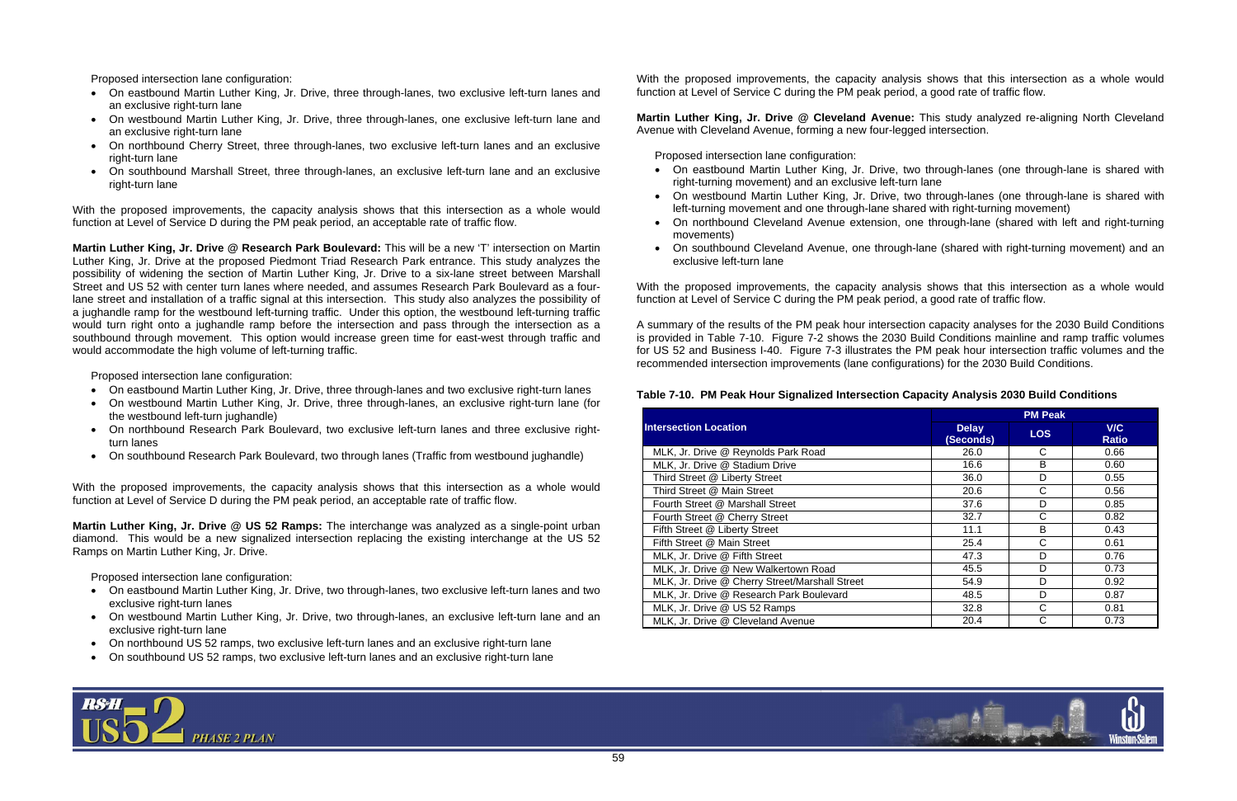Proposed intersection lane configuration:

- On eastbound Martin Luther King, Jr. Drive, three through-lanes, two exclusive left-turn lanes and an exclusive right-turn lane
- On westbound Martin Luther King, Jr. Drive, three through-lanes, one exclusive left-turn lane and an exclusive right-turn lane
- On northbound Cherry Street, three through-lanes, two exclusive left-turn lanes and an exclusive right-turn lane
- On southbound Marshall Street, three through-lanes, an exclusive left-turn lane and an exclusive right-turn lane

With the proposed improvements, the capacity analysis shows that this intersection as a whole would function at Level of Service D during the PM peak period, an acceptable rate of traffic flow.

- On eastbound Martin Luther King, Jr. Drive, three through-lanes and two exclusive right-turn lanes
- On westbound Martin Luther King, Jr. Drive, three through-lanes, an exclusive right-turn lane (for the westbound left-turn jughandle)
- On northbound Research Park Boulevard, two exclusive left-turn lanes and three exclusive rightturn lanes
- On southbound Research Park Boulevard, two through lanes (Traffic from westbound jughandle)

**Martin Luther King, Jr. Drive @ Research Park Boulevard:** This will be a new 'T' intersection on Martin Luther King, Jr. Drive at the proposed Piedmont Triad Research Park entrance. This study analyzes the possibility of widening the section of Martin Luther King, Jr. Drive to a six-lane street between Marshall Street and US 52 with center turn lanes where needed, and assumes Research Park Boulevard as a fourlane street and installation of a traffic signal at this intersection. This study also analyzes the possibility of a jughandle ramp for the westbound left-turning traffic. Under this option, the westbound left-turning traffic would turn right onto a jughandle ramp before the intersection and pass through the intersection as a southbound through movement. This option would increase green time for east-west through traffic and would accommodate the high volume of left-turning traffic.

Proposed intersection lane configuration:

- On eastbound Martin Luther King, Jr. Drive, two through-lanes (one through-lane is shared with right-turning movement) and an exclusive left-turn lane
- On westbound Martin Luther King, Jr. Drive, two through-lanes (one through-lane is shared with left-turning movement and one through-lane shared with right-turning movement)
- On northbound Cleveland Avenue extension, one through-lane (shared with left and right-turning movements)
- exclusive left-turn lane

With the proposed improvements, the capacity analysis shows that this intersection as a whole would function at Level of Service D during the PM peak period, an acceptable rate of traffic flow.

**Martin Luther King, Jr. Drive @ US 52 Ramps:** The interchange was analyzed as a single-point urban diamond. This would be a new signalized intersection replacing the existing interchange at the US 52 Ramps on Martin Luther King, Jr. Drive.

Proposed intersection lane configuration:

- On eastbound Martin Luther King, Jr. Drive, two through-lanes, two exclusive left-turn lanes and two exclusive right-turn lanes
- On westbound Martin Luther King, Jr. Drive, two through-lanes, an exclusive left-turn lane and an exclusive right-turn lane
- On northbound US 52 ramps, two exclusive left-turn lanes and an exclusive right-turn lane
- On southbound US 52 ramps, two exclusive left-turn lanes and an exclusive right-turn lane

With the proposed improvements, the capacity analysis shows that this intersection as a whole would function at Level of Service C during the PM peak period, a good rate of traffic flow.

**Martin Luther King, Jr. Drive @ Cleveland Avenue:** This study analyzed re-aligning North Cleveland Avenue with Cleveland Avenue, forming a new four-legged intersection.

Proposed intersection lane configuration:

• On southbound Cleveland Avenue, one through-lane (shared with right-turning movement) and an

With the proposed improvements, the capacity analysis shows that this intersection as a whole would function at Level of Service C during the PM peak period, a good rate of traffic flow.

A summary of the results of the PM peak hour intersection capacity analyses for the 2030 Build Conditions is provided in Table 7-10. Figure 7-2 shows the 2030 Build Conditions mainline and ramp traffic volumes for US 52 and Business I-40. Figure 7-3 illustrates the PM peak hour intersection traffic volumes and the recommended intersection improvements (lane configurations) for the 2030 Build Conditions.

### **Table 7-10. PM Peak Hour Signalized Intersection Capacity Analysis 2030 Build Conditions**

# **PM Peak Delay (Seconds) LOS V/C Ratio**



|                                                |                           | PM Peak    |                     |
|------------------------------------------------|---------------------------|------------|---------------------|
| <b>Intersection Location</b>                   | <b>Delay</b><br>(Seconds) | <b>LOS</b> | V/C<br><b>Ratio</b> |
| MLK, Jr. Drive @ Reynolds Park Road            | 26.0                      | C          | 0.66                |
| MLK, Jr. Drive @ Stadium Drive                 | 16.6                      | B          | 0.60                |
| Third Street @ Liberty Street                  | 36.0                      | D          | 0.55                |
| Third Street @ Main Street                     | 20.6                      | C          | 0.56                |
| Fourth Street @ Marshall Street                | 37.6                      | D          | 0.85                |
| Fourth Street @ Cherry Street                  | 32.7                      | C          | 0.82                |
| Fifth Street @ Liberty Street                  | 11.1                      | B          | 0.43                |
| Fifth Street @ Main Street                     | 25.4                      | C          | 0.61                |
| MLK, Jr. Drive @ Fifth Street                  | 47.3                      | D          | 0.76                |
| MLK, Jr. Drive @ New Walkertown Road           | 45.5                      | D          | 0.73                |
| MLK, Jr. Drive @ Cherry Street/Marshall Street | 54.9                      | D          | 0.92                |
| MLK, Jr. Drive @ Research Park Boulevard       | 48.5                      | D          | 0.87                |
| MLK, Jr. Drive @ US 52 Ramps                   | 32.8                      | C          | 0.81                |
| MLK, Jr. Drive @ Cleveland Avenue              | 20.4                      | C          | 0.73                |
|                                                |                           |            |                     |

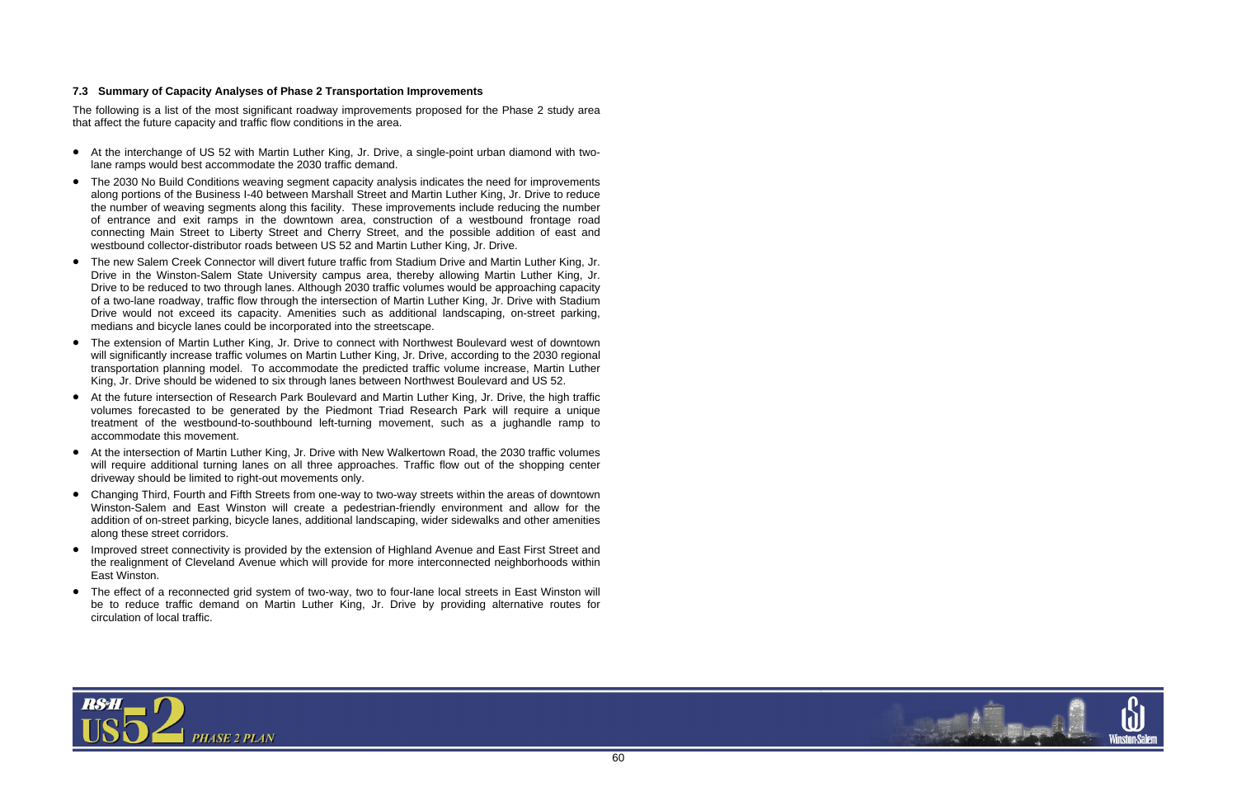

#### **7.3 Summary of Capacity Analyses of Phase 2 Transportation Improvements**

The following is a list of the most significant roadway improvements proposed for the Phase 2 study area that affect the future capacity and traffic flow conditions in the area.

- At the interchange of US 52 with Martin Luther King, Jr. Drive, a single-point urban diamond with twolane ramps would best accommodate the 2030 traffic demand.
- • The 2030 No Build Conditions weaving segment capacity analysis indicates the need for improvements along portions of the Business I-40 between Marshall Street and Martin Luther King, Jr. Drive to reduce the number of weaving segments along this facility. These improvements include reducing the number of entrance and exit ramps in the downtown area, construction of a westbound frontage road connecting Main Street to Liberty Street and Cherry Street, and the possible addition of east and westbound collector-distributor roads between US 52 and Martin Luther King, Jr. Drive.
- $\bullet$  The new Salem Creek Connector will divert future traffic from Stadium Drive and Martin Luther King, Jr. Drive in the Winston-Salem State University campus area, thereby allowing Martin Luther King, Jr. Drive to be reduced to two through lanes. Although 2030 traffic volumes would be approaching capacity of a two-lane roadway, traffic flow through the intersection of Martin Luther King, Jr. Drive with Stadium Drive would not exceed its capacity. Amenities such as additional landscaping, on-street parking, medians and bicycle lanes could be incorporated into the streetscape.
- $\bullet$  The extension of Martin Luther King, Jr. Drive to connect with Northwest Boulevard west of downtown will significantly increase traffic volumes on Martin Luther King, Jr. Drive, according to the 2030 regional transportation planning model. To accommodate the predicted traffic volume increase, Martin Luther King, Jr. Drive should be widened to six through lanes between Northwest Boulevard and US 52.
- At the future intersection of Research Park Boulevard and Martin Luther King, Jr. Drive, the high traffic volumes forecasted to be generated by the Piedmont Triad Research Park will require a unique treatment of the westbound-to-southbound left-turning movement, such as a jughandle ramp to accommodate this movement.
- At the intersection of Martin Luther King, Jr. Drive with New Walkertown Road, the 2030 traffic volumes will require additional turning lanes on all three approaches. Traffic flow out of the shopping center driveway should be limited to right-out movements only.
- Changing Third, Fourth and Fifth Streets from one-way to two-way streets within the areas of downtown Winston-Salem and East Winston will create a pedestrian-friendly environment and allow for the addition of on-street parking, bicycle lanes, additional landscaping, wider sidewalks and other amenities along these street corridors.
- Improved street connectivity is provided by the extension of Highland Avenue and East First Street and the realignment of Cleveland Avenue which will provide for more interconnected neighborhoods within East Winston.
- The effect of a reconnected grid system of two-way, two to four-lane local streets in East Winston will be to reduce traffic demand on Martin Luther King, Jr. Drive by providing alternative routes for circulation of local traffic.

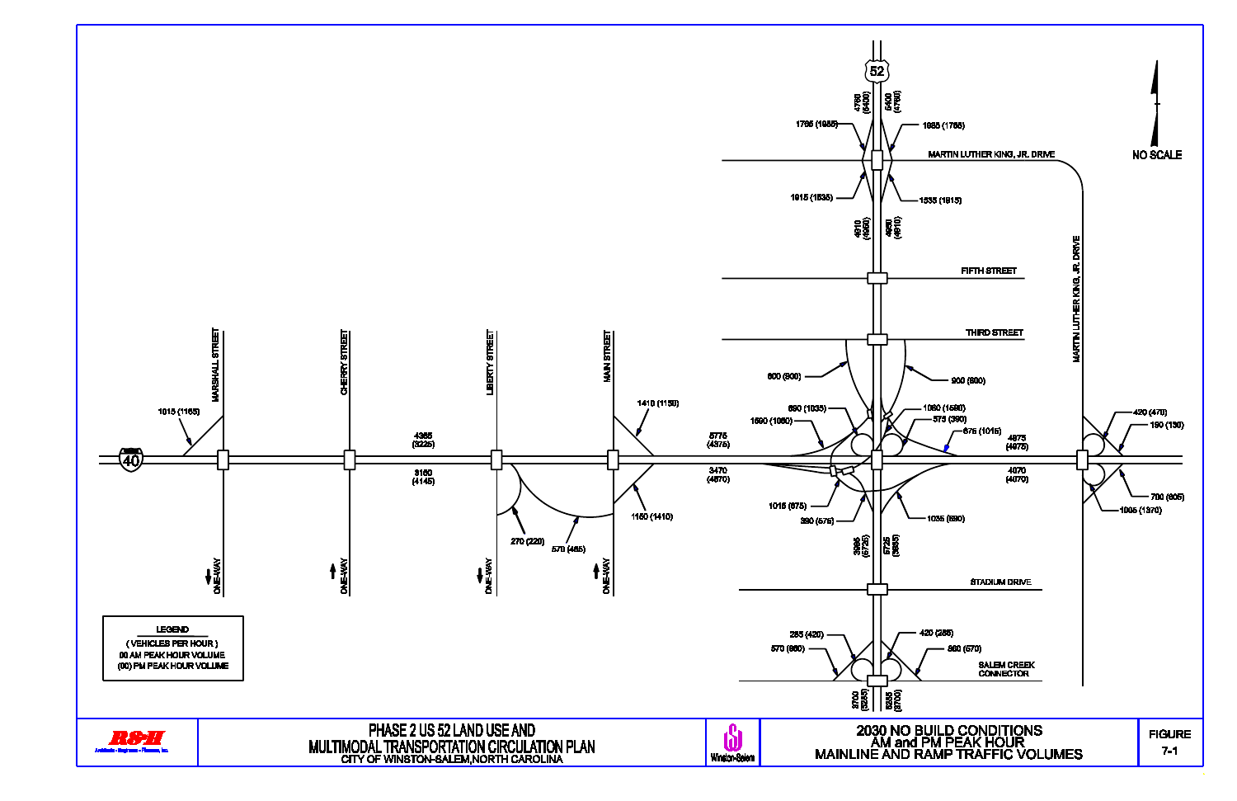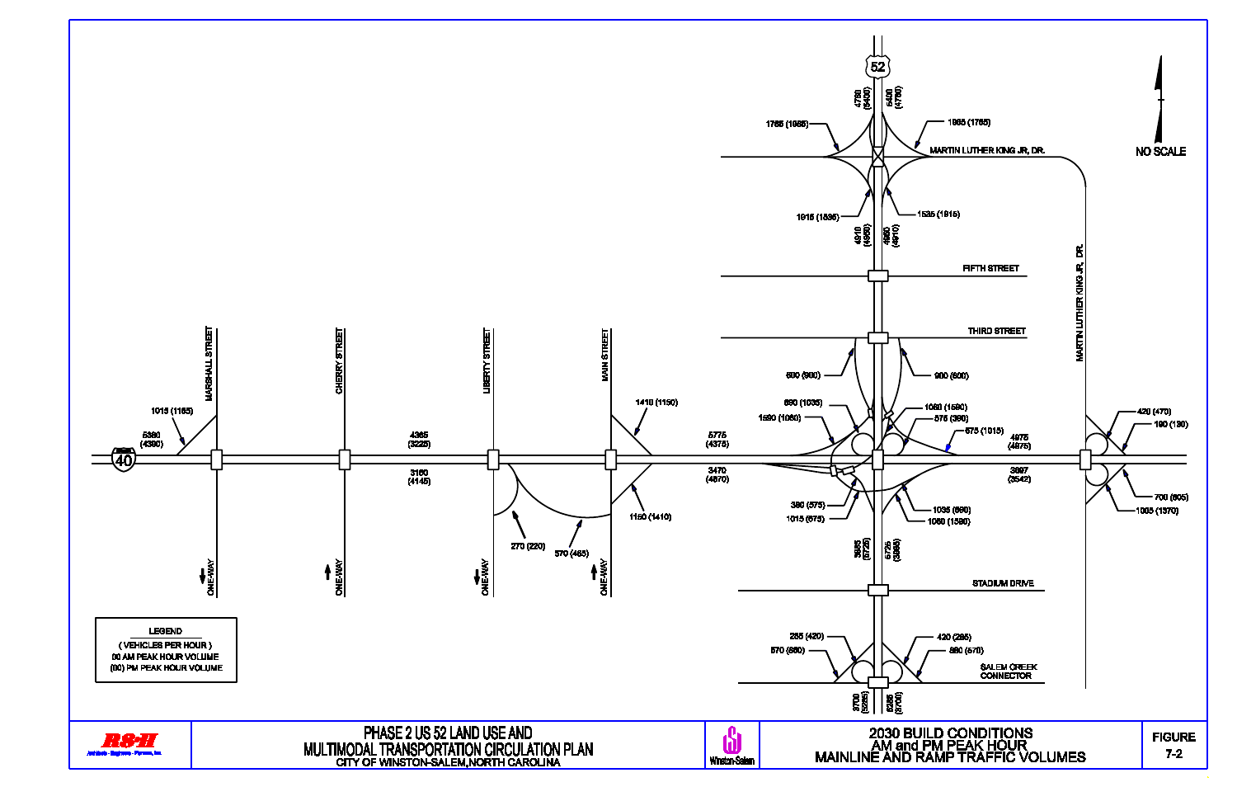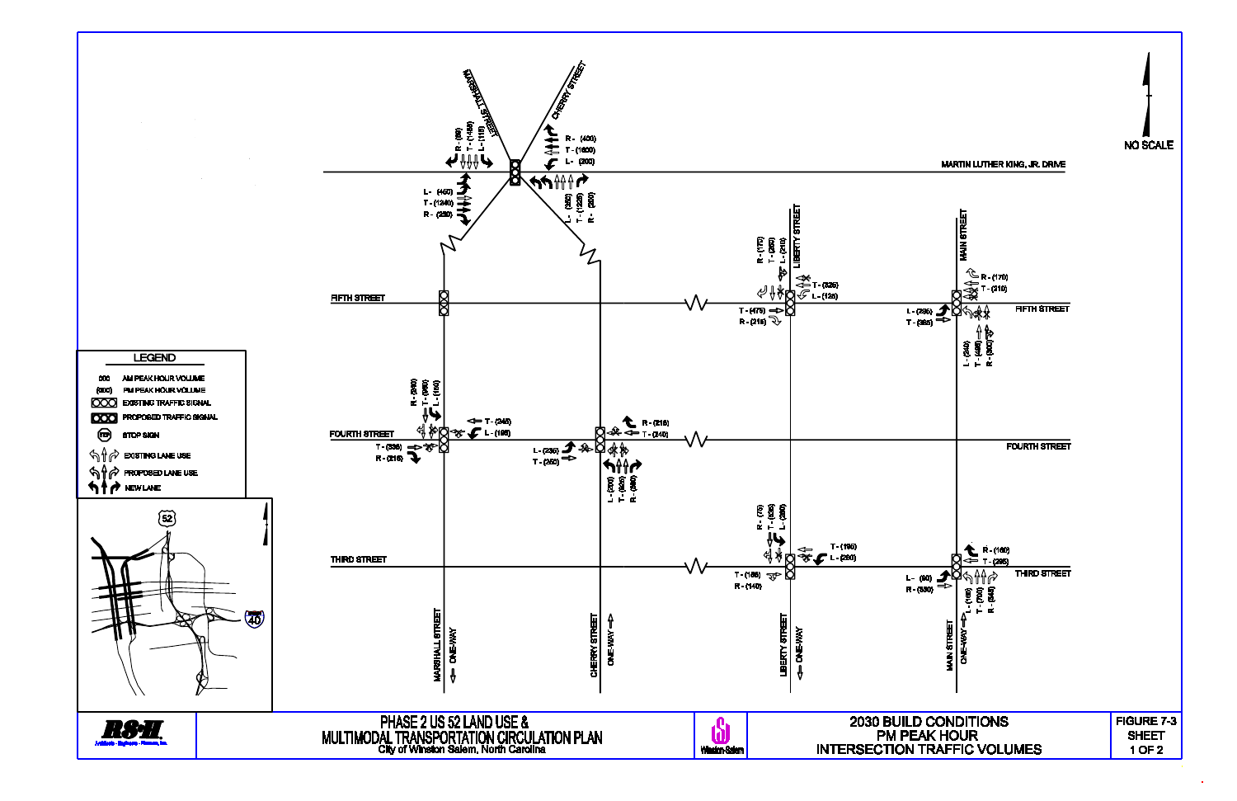